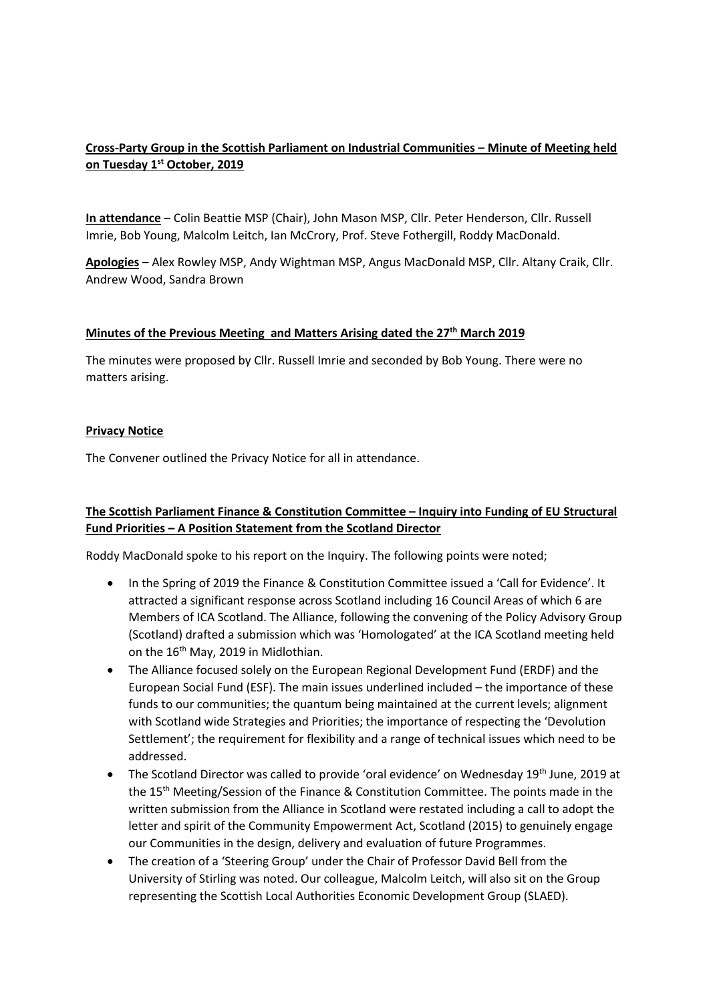## **Cross-Party Group in the Scottish Parliament on Industrial Communities – Minute of Meeting held on Tuesday 1st October, 2019**

**In attendance** – Colin Beattie MSP (Chair), John Mason MSP, Cllr. Peter Henderson, Cllr. Russell Imrie, Bob Young, Malcolm Leitch, Ian McCrory, Prof. Steve Fothergill, Roddy MacDonald.

**Apologies** – Alex Rowley MSP, Andy Wightman MSP, Angus MacDonald MSP, Cllr. Altany Craik, Cllr. Andrew Wood, Sandra Brown

#### **Minutes of the Previous Meeting and Matters Arising dated the 27th March 2019**

The minutes were proposed by Cllr. Russell Imrie and seconded by Bob Young. There were no matters arising.

#### **Privacy Notice**

The Convener outlined the Privacy Notice for all in attendance.

# **The Scottish Parliament Finance & Constitution Committee – Inquiry into Funding of EU Structural Fund Priorities – A Position Statement from the Scotland Director**

Roddy MacDonald spoke to his report on the Inquiry. The following points were noted;

- In the Spring of 2019 the Finance & Constitution Committee issued a 'Call for Evidence'. It attracted a significant response across Scotland including 16 Council Areas of which 6 are Members of ICA Scotland. The Alliance, following the convening of the Policy Advisory Group (Scotland) drafted a submission which was 'Homologated' at the ICA Scotland meeting held on the 16<sup>th</sup> May, 2019 in Midlothian.
- The Alliance focused solely on the European Regional Development Fund (ERDF) and the European Social Fund (ESF). The main issues underlined included – the importance of these funds to our communities; the quantum being maintained at the current levels; alignment with Scotland wide Strategies and Priorities; the importance of respecting the 'Devolution Settlement'; the requirement for flexibility and a range of technical issues which need to be addressed.
- The Scotland Director was called to provide 'oral evidence' on Wednesday 19<sup>th</sup> June, 2019 at the 15th Meeting/Session of the Finance & Constitution Committee. The points made in the written submission from the Alliance in Scotland were restated including a call to adopt the letter and spirit of the Community Empowerment Act, Scotland (2015) to genuinely engage our Communities in the design, delivery and evaluation of future Programmes.
- The creation of a 'Steering Group' under the Chair of Professor David Bell from the University of Stirling was noted. Our colleague, Malcolm Leitch, will also sit on the Group representing the Scottish Local Authorities Economic Development Group (SLAED).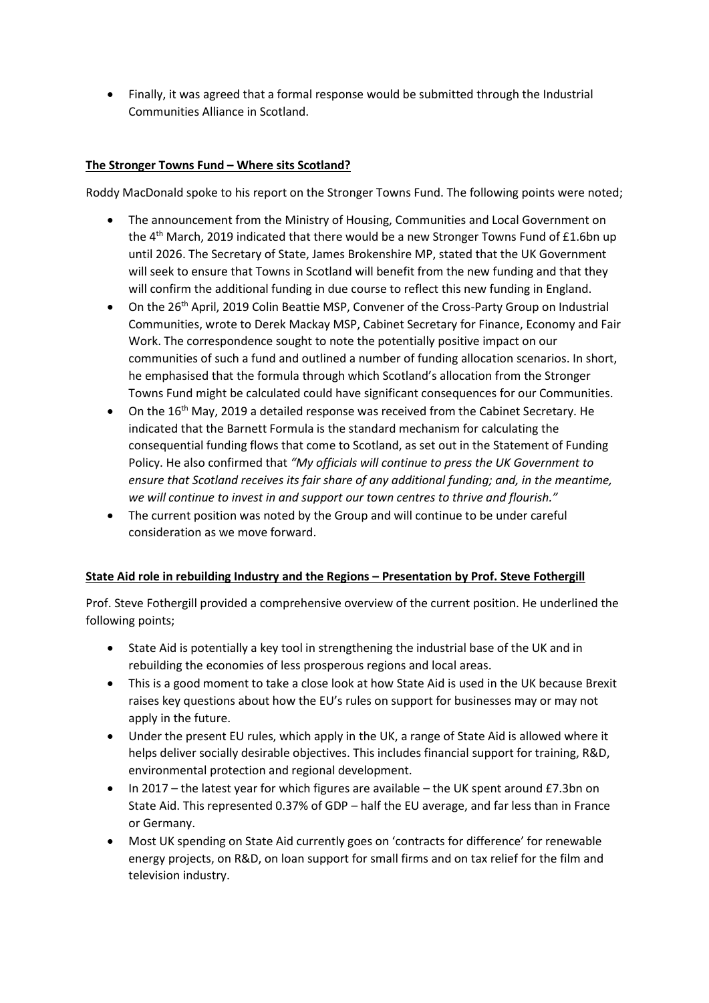• Finally, it was agreed that a formal response would be submitted through the Industrial Communities Alliance in Scotland.

## **The Stronger Towns Fund – Where sits Scotland?**

Roddy MacDonald spoke to his report on the Stronger Towns Fund. The following points were noted;

- The announcement from the Ministry of Housing, Communities and Local Government on the  $4<sup>th</sup>$  March, 2019 indicated that there would be a new Stronger Towns Fund of £1.6bn up until 2026. The Secretary of State, James Brokenshire MP, stated that the UK Government will seek to ensure that Towns in Scotland will benefit from the new funding and that they will confirm the additional funding in due course to reflect this new funding in England.
- On the 26<sup>th</sup> April, 2019 Colin Beattie MSP, Convener of the Cross-Party Group on Industrial Communities, wrote to Derek Mackay MSP, Cabinet Secretary for Finance, Economy and Fair Work. The correspondence sought to note the potentially positive impact on our communities of such a fund and outlined a number of funding allocation scenarios. In short, he emphasised that the formula through which Scotland's allocation from the Stronger Towns Fund might be calculated could have significant consequences for our Communities.
- On the 16th May, 2019 a detailed response was received from the Cabinet Secretary. He indicated that the Barnett Formula is the standard mechanism for calculating the consequential funding flows that come to Scotland, as set out in the Statement of Funding Policy. He also confirmed that *"My officials will continue to press the UK Government to ensure that Scotland receives its fair share of any additional funding; and, in the meantime, we will continue to invest in and support our town centres to thrive and flourish."*
- The current position was noted by the Group and will continue to be under careful consideration as we move forward.

#### **State Aid role in rebuilding Industry and the Regions – Presentation by Prof. Steve Fothergill**

Prof. Steve Fothergill provided a comprehensive overview of the current position. He underlined the following points;

- State Aid is potentially a key tool in strengthening the industrial base of the UK and in rebuilding the economies of less prosperous regions and local areas.
- This is a good moment to take a close look at how State Aid is used in the UK because Brexit raises key questions about how the EU's rules on support for businesses may or may not apply in the future.
- Under the present EU rules, which apply in the UK, a range of State Aid is allowed where it helps deliver socially desirable objectives. This includes financial support for training, R&D, environmental protection and regional development.
- In 2017 the latest year for which figures are available the UK spent around £7.3bn on State Aid. This represented 0.37% of GDP – half the EU average, and far less than in France or Germany.
- Most UK spending on State Aid currently goes on 'contracts for difference' for renewable energy projects, on R&D, on loan support for small firms and on tax relief for the film and television industry.